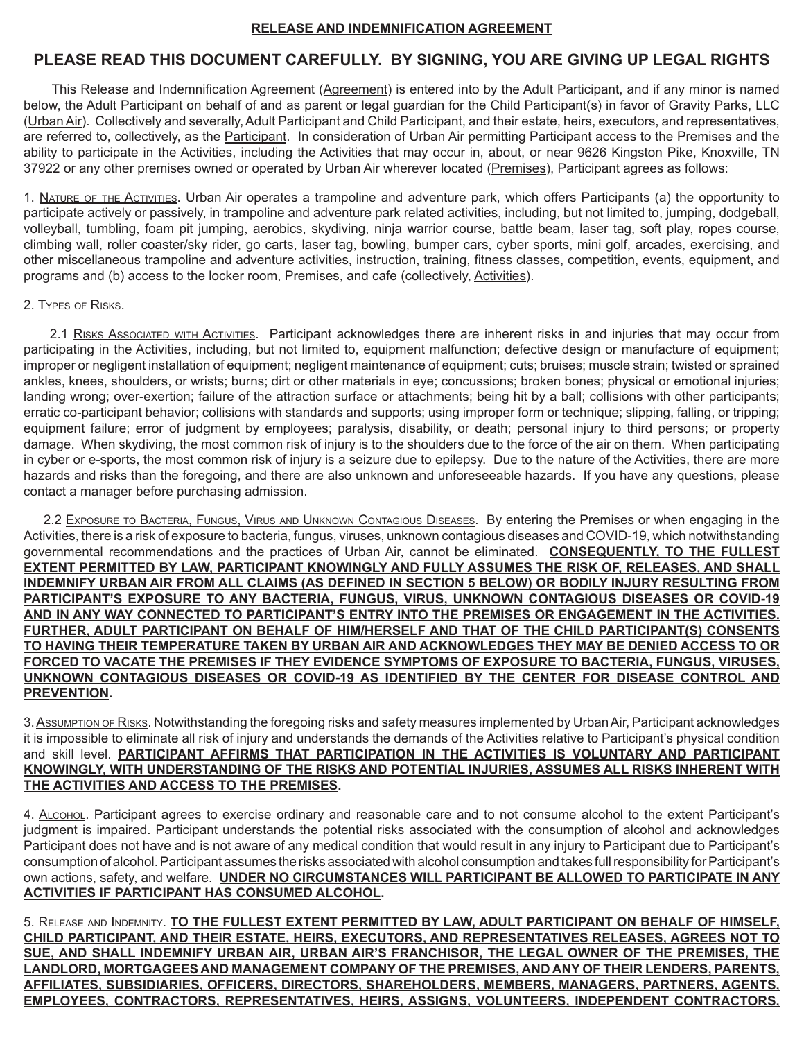# **RELEASE AND INDEMNIFICATION AGREEMENT**

# **PLEASE READ THIS DOCUMENT CAREFULLY. BY SIGNING, YOU ARE GIVING UP LEGAL RIGHTS**

This Release and Indemnification Agreement (Agreement) is entered into by the Adult Participant, and if any minor is named below, the Adult Participant on behalf of and as parent or legal guardian for the Child Participant(s) in favor of Gravity Parks, LLC (Urban Air). Collectively and severally, Adult Participant and Child Participant, and their estate, heirs, executors, and representatives, are referred to, collectively, as the Participant. In consideration of Urban Air permitting Participant access to the Premises and the ability to participate in the Activities, including the Activities that may occur in, about, or near 9626 Kingston Pike, Knoxville, TN 37922 or any other premises owned or operated by Urban Air wherever located (Premises), Participant agrees as follows:

1. Nature of the Activities. Urban Air operates a trampoline and adventure park, which offers Participants (a) the opportunity to participate actively or passively, in trampoline and adventure park related activities, including, but not limited to, jumping, dodgeball, volleyball, tumbling, foam pit jumping, aerobics, skydiving, ninja warrior course, battle beam, laser tag, soft play, ropes course, climbing wall, roller coaster/sky rider, go carts, laser tag, bowling, bumper cars, cyber sports, mini golf, arcades, exercising, and other miscellaneous trampoline and adventure activities, instruction, training, fitness classes, competition, events, equipment, and programs and (b) access to the locker room, Premises, and cafe (collectively, Activities).

### 2. Types of Risks.

2.1 RISKS ASSOCIATED WITH ACTIVITIES. Participant acknowledges there are inherent risks in and injuries that may occur from participating in the Activities, including, but not limited to, equipment malfunction; defective design or manufacture of equipment; improper or negligent installation of equipment; negligent maintenance of equipment; cuts; bruises; muscle strain; twisted or sprained ankles, knees, shoulders, or wrists; burns; dirt or other materials in eye; concussions; broken bones; physical or emotional injuries; landing wrong; over-exertion; failure of the attraction surface or attachments; being hit by a ball; collisions with other participants; erratic co-participant behavior; collisions with standards and supports; using improper form or technique; slipping, falling, or tripping; equipment failure; error of judgment by employees; paralysis, disability, or death; personal injury to third persons; or property damage. When skydiving, the most common risk of injury is to the shoulders due to the force of the air on them. When participating in cyber or e-sports, the most common risk of injury is a seizure due to epilepsy. Due to the nature of the Activities, there are more hazards and risks than the foregoing, and there are also unknown and unforeseeable hazards. If you have any questions, please contact a manager before purchasing admission.

2.2 Exposure to Bacteria, Fungus, Virus and Unknown Contagious Diseases. By entering the Premises or when engaging in the Activities, there is a risk of exposure to bacteria, fungus, viruses, unknown contagious diseases and COVID-19, which notwithstanding governmental recommendations and the practices of Urban Air, cannot be eliminated. **CONSEQUENTLY, TO THE FULLEST EXTENT PERMITTED BY LAW, PARTICIPANT KNOWINGLY AND FULLY ASSUMES THE RISK OF, RELEASES, AND SHALL INDEMNIFY URBAN AIR FROM ALL CLAIMS (AS DEFINED IN SECTION 5 BELOW) OR BODILY INJURY RESULTING FROM PARTICIPANT'S EXPOSURE TO ANY BACTERIA, FUNGUS, VIRUS, UNKNOWN CONTAGIOUS DISEASES OR COVID-19 AND IN ANY WAY CONNECTED TO PARTICIPANT'S ENTRY INTO THE PREMISES OR ENGAGEMENT IN THE ACTIVITIES. FURTHER, ADULT PARTICIPANT ON BEHALF OF HIM/HERSELF AND THAT OF THE CHILD PARTICIPANT(S) CONSENTS TO HAVING THEIR TEMPERATURE TAKEN BY URBAN AIR AND ACKNOWLEDGES THEY MAY BE DENIED ACCESS TO OR FORCED TO VACATE THE PREMISES IF THEY EVIDENCE SYMPTOMS OF EXPOSURE TO BACTERIA, FUNGUS, VIRUSES, UNKNOWN CONTAGIOUS DISEASES OR COVID-19 AS IDENTIFIED BY THE CENTER FOR DISEASE CONTROL AND PREVENTION.**

3. Assumption of Risks. Notwithstanding the foregoing risks and safety measures implemented by Urban Air, Participant acknowledges it is impossible to eliminate all risk of injury and understands the demands of the Activities relative to Participant's physical condition and skill level. **PARTICIPANT AFFIRMS THAT PARTICIPATION IN THE ACTIVITIES IS VOLUNTARY AND PARTICIPANT KNOWINGLY, WITH UNDERSTANDING OF THE RISKS AND POTENTIAL INJURIES, ASSUMES ALL RISKS INHERENT WITH THE ACTIVITIES AND ACCESS TO THE PREMISES.** 

4. ALcohol. Participant agrees to exercise ordinary and reasonable care and to not consume alcohol to the extent Participant's judgment is impaired. Participant understands the potential risks associated with the consumption of alcohol and acknowledges Participant does not have and is not aware of any medical condition that would result in any injury to Participant due to Participant's consumption of alcohol. Participant assumes the risks associated with alcohol consumption and takes full responsibility for Participant's own actions, safety, and welfare. **UNDER NO CIRCUMSTANCES WILL PARTICIPANT BE ALLOWED TO PARTICIPATE IN ANY ACTIVITIES IF PARTICIPANT HAS CONSUMED ALCOHOL.** 

5. Release and Indemnity. **TO THE FULLEST EXTENT PERMITTED BY LAW, ADULT PARTICIPANT ON BEHALF OF HIMSELF, CHILD PARTICIPANT, AND THEIR ESTATE, HEIRS, EXECUTORS, AND REPRESENTATIVES RELEASES, AGREES NOT TO SUE, AND SHALL INDEMNIFY URBAN AIR, URBAN AIR'S FRANCHISOR, THE LEGAL OWNER OF THE PREMISES, THE LANDLORD, MORTGAGEES AND MANAGEMENT COMPANY OF THE PREMISES, AND ANY OF THEIR LENDERS, PARENTS, AFFILIATES, SUBSIDIARIES, OFFICERS, DIRECTORS, SHAREHOLDERS, MEMBERS, MANAGERS, PARTNERS, AGENTS, EMPLOYEES, CONTRACTORS, REPRESENTATIVES, HEIRS, ASSIGNS, VOLUNTEERS, INDEPENDENT CONTRACTORS,**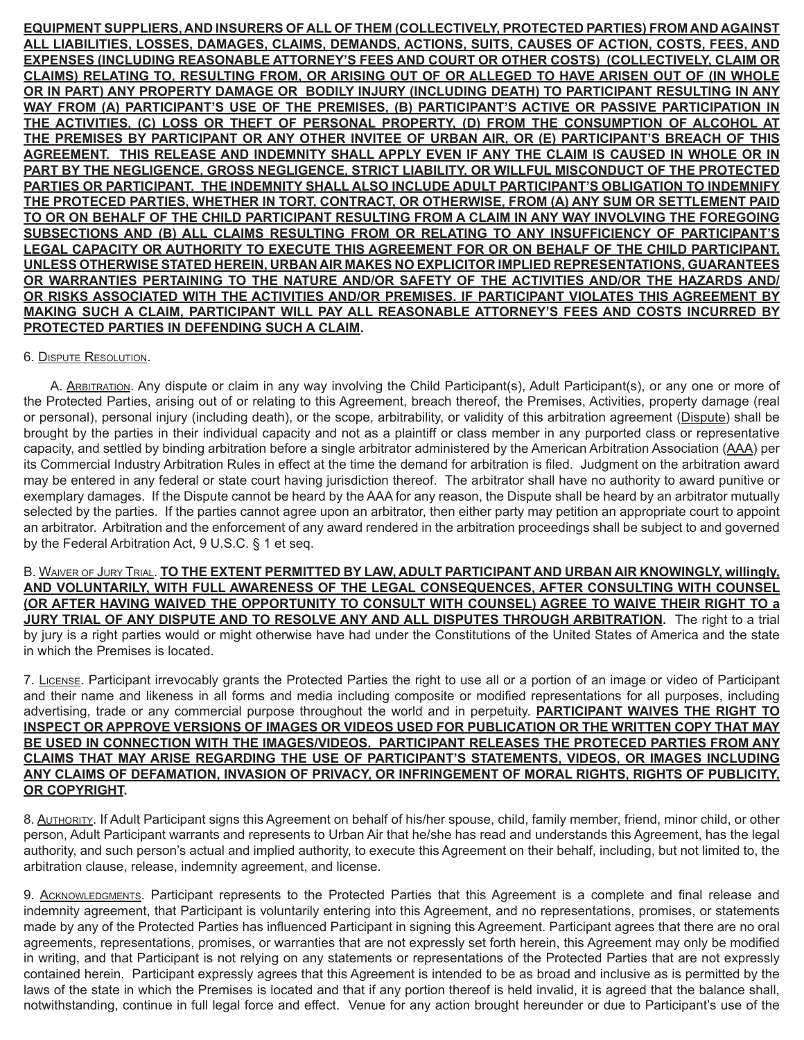**EQUIPMENT SUPPLIERS, AND INSURERS OF ALL OF THEM (COLLECTIVELY, PROTECTED PARTIES) FROM AND AGAINST ALL LIABILITIES, LOSSES, DAMAGES, CLAIMS, DEMANDS, ACTIONS, SUITS, CAUSES OF ACTION, COSTS, FEES, AND EXPENSES (INCLUDING REASONABLE ATTORNEY'S FEES AND COURT OR OTHER COSTS) (COLLECTIVELY, CLAIM OR CLAIMS) RELATING TO, RESULTING FROM, OR ARISING OUT OF OR ALLEGED TO HAVE ARISEN OUT OF (IN WHOLE OR IN PART) ANY PROPERTY DAMAGE OR BODILY INJURY (INCLUDING DEATH) TO PARTICIPANT RESULTING IN ANY WAY FROM (A) PARTICIPANT'S USE OF THE PREMISES, (B) PARTICIPANT'S ACTIVE OR PASSIVE PARTICIPATION IN THE ACTIVITIES, (C) LOSS OR THEFT OF PERSONAL PROPERTY, (D) FROM THE CONSUMPTION OF ALCOHOL AT THE PREMISES BY PARTICIPANT OR ANY OTHER INVITEE OF URBAN AIR, OR (E) PARTICIPANT'S BREACH OF THIS AGREEMENT. THIS RELEASE AND INDEMNITY SHALL APPLY EVEN IF ANY THE CLAIM IS CAUSED IN WHOLE OR IN PART BY THE NEGLIGENCE, GROSS NEGLIGENCE, STRICT LIABILITY, OR WILLFUL MISCONDUCT OF THE PROTECTED PARTIES OR PARTICIPANT. THE INDEMNITY SHALL ALSO INCLUDE ADULT PARTICIPANT'S OBLIGATION TO INDEMNIFY THE PROTECED PARTIES, WHETHER IN TORT, CONTRACT, OR OTHERWISE, FROM (A) ANY SUM OR SETTLEMENT PAID TO OR ON BEHALF OF THE CHILD PARTICIPANT RESULTING FROM A CLAIM IN ANY WAY INVOLVING THE FOREGOING SUBSECTIONS AND (B) ALL CLAIMS RESULTING FROM OR RELATING TO ANY INSUFFICIENCY OF PARTICIPANT'S LEGAL CAPACITY OR AUTHORITY TO EXECUTE THIS AGREEMENT FOR OR ON BEHALF OF THE CHILD PARTICIPANT. UNLESS OTHERWISE STATED HEREIN, URBAN AIR MAKES NO EXPLICITOR IMPLIED REPRESENTATIONS, GUARANTEES OR WARRANTIES PERTAINING TO THE NATURE AND/OR SAFETY OF THE ACTIVITIES AND/OR THE HAZARDS AND/ OR RISKS ASSOCIATED WITH THE ACTIVITIES AND/OR PREMISES. IF PARTICIPANT VIOLATES THIS AGREEMENT BY MAKING SUCH A CLAIM, PARTICIPANT WILL PAY ALL REASONABLE ATTORNEY'S FEES AND COSTS INCURRED BY PROTECTED PARTIES IN DEFENDING SUCH A CLAIM.**

# 6. Dispute Resolution.

 A. Arbitration. Any dispute or claim in any way involving the Child Participant(s), Adult Participant(s), or any one or more of the Protected Parties, arising out of or relating to this Agreement, breach thereof, the Premises, Activities, property damage (real or personal), personal injury (including death), or the scope, arbitrability, or validity of this arbitration agreement (Dispute) shall be brought by the parties in their individual capacity and not as a plaintiff or class member in any purported class or representative capacity, and settled by binding arbitration before a single arbitrator administered by the American Arbitration Association (AAA) per its Commercial Industry Arbitration Rules in effect at the time the demand for arbitration is filed. Judgment on the arbitration award may be entered in any federal or state court having jurisdiction thereof. The arbitrator shall have no authority to award punitive or exemplary damages. If the Dispute cannot be heard by the AAA for any reason, the Dispute shall be heard by an arbitrator mutually selected by the parties. If the parties cannot agree upon an arbitrator, then either party may petition an appropriate court to appoint an arbitrator. Arbitration and the enforcement of any award rendered in the arbitration proceedings shall be subject to and governed by the Federal Arbitration Act, 9 U.S.C. § 1 et seq.

B. Waiver of Jury Trial. **TO THE EXTENT PERMITTED BY LAW, ADULT PARTICIPANT AND URBAN AIR KNOWINGLY, willingly, AND VOLUNTARILY, WITH FULL AWARENESS OF THE LEGAL CONSEQUENCES, AFTER CONSULTING WITH COUNSEL (OR AFTER HAVING WAIVED THE OPPORTUNITY TO CONSULT WITH COUNSEL) AGREE TO WAIVE THEIR RIGHT TO a JURY TRIAL OF ANY DISPUTE AND TO RESOLVE ANY AND ALL DISPUTES THROUGH ARBITRATION.** The right to a trial by jury is a right parties would or might otherwise have had under the Constitutions of the United States of America and the state in which the Premises is located.

7. License. Participant irrevocably grants the Protected Parties the right to use all or a portion of an image or video of Participant and their name and likeness in all forms and media including composite or modified representations for all purposes, including advertising, trade or any commercial purpose throughout the world and in perpetuity. **PARTICIPANT WAIVES THE RIGHT TO INSPECT OR APPROVE VERSIONS OF IMAGES OR VIDEOS USED FOR PUBLICATION OR THE WRITTEN COPY THAT MAY BE USED IN CONNECTION WITH THE IMAGES/VIDEOS. PARTICIPANT RELEASES THE PROTECED PARTIES FROM ANY CLAIMS THAT MAY ARISE REGARDING THE USE OF PARTICIPANT'S STATEMENTS, VIDEOS, OR IMAGES INCLUDING ANY CLAIMS OF DEFAMATION, INVASION OF PRIVACY, OR INFRINGEMENT OF MORAL RIGHTS, RIGHTS OF PUBLICITY, OR COPYRIGHT.** 

8. AUTHORITY. If Adult Participant signs this Agreement on behalf of his/her spouse, child, family member, friend, minor child, or other person, Adult Participant warrants and represents to Urban Air that he/she has read and understands this Agreement, has the legal authority, and such person's actual and implied authority, to execute this Agreement on their behalf, including, but not limited to, the arbitration clause, release, indemnity agreement, and license.

9. ACKNOWLEDGMENTS. Participant represents to the Protected Parties that this Agreement is a complete and final release and indemnity agreement, that Participant is voluntarily entering into this Agreement, and no representations, promises, or statements made by any of the Protected Parties has influenced Participant in signing this Agreement. Participant agrees that there are no oral agreements, representations, promises, or warranties that are not expressly set forth herein, this Agreement may only be modified in writing, and that Participant is not relying on any statements or representations of the Protected Parties that are not expressly contained herein. Participant expressly agrees that this Agreement is intended to be as broad and inclusive as is permitted by the laws of the state in which the Premises is located and that if any portion thereof is held invalid, it is agreed that the balance shall, notwithstanding, continue in full legal force and effect. Venue for any action brought hereunder or due to Participant's use of the